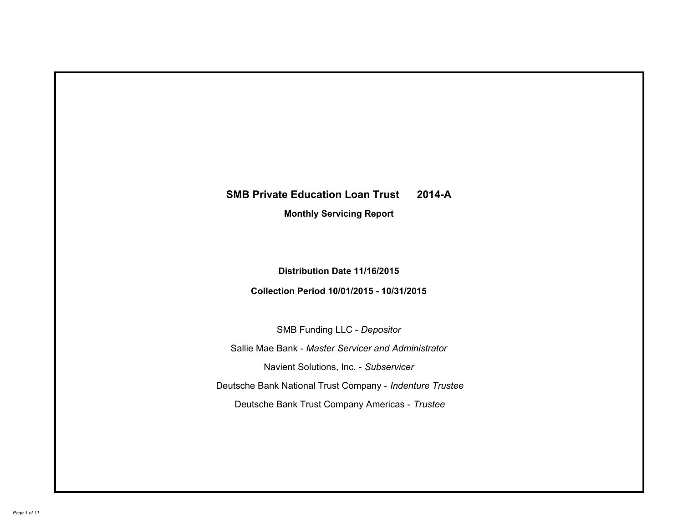# **SMB Private Education Loan Trust 2014-A Monthly Servicing Report**

# **Distribution Date 11/16/2015**

# **Collection Period 10/01/2015 - 10/31/2015**

SMB Funding LLC - *Depositor*

Sallie Mae Bank - *Master Servicer and Administrator*

Navient Solutions, Inc. - *Subservicer*

Deutsche Bank National Trust Company - *Indenture Trustee*

Deutsche Bank Trust Company Americas - *Trustee*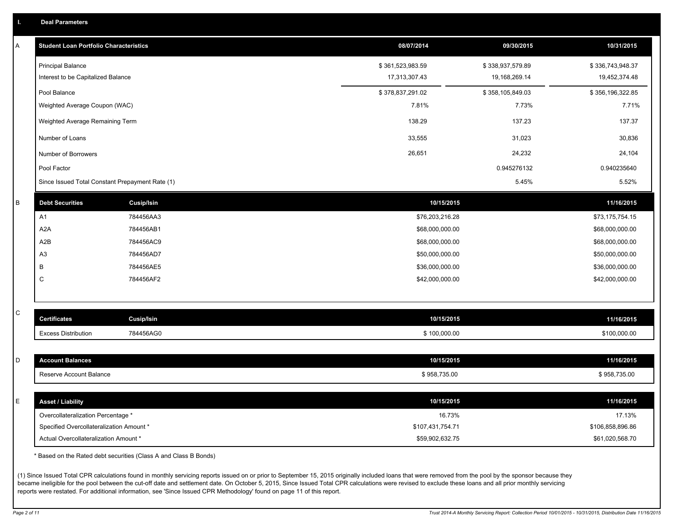|  |  |  | <b>Deal Parameters</b> |  |
|--|--|--|------------------------|--|
|--|--|--|------------------------|--|

| Α            | <b>Student Loan Portfolio Characteristics</b>   |            | 08/07/2014       | 09/30/2015       | 10/31/2015       |
|--------------|-------------------------------------------------|------------|------------------|------------------|------------------|
|              | <b>Principal Balance</b>                        |            | \$361,523,983.59 | \$338,937,579.89 | \$336,743,948.37 |
|              | Interest to be Capitalized Balance              |            | 17,313,307.43    | 19,168,269.14    | 19,452,374.48    |
|              | Pool Balance                                    |            | \$378,837,291.02 | \$358,105,849.03 | \$356,196,322.85 |
|              | Weighted Average Coupon (WAC)                   |            | 7.81%            | 7.73%            | 7.71%            |
|              | Weighted Average Remaining Term                 |            | 138.29           | 137.23           | 137.37           |
|              | Number of Loans                                 |            | 33,555           | 31,023           | 30,836           |
|              | Number of Borrowers                             |            | 26,651           | 24,232           | 24,104           |
|              | Pool Factor                                     |            |                  | 0.945276132      | 0.940235640      |
|              | Since Issued Total Constant Prepayment Rate (1) |            |                  | 5.45%            | 5.52%            |
| B            | <b>Debt Securities</b>                          | Cusip/Isin | 10/15/2015       |                  | 11/16/2015       |
|              | A1                                              | 784456AA3  | \$76,203,216.28  |                  | \$73,175,754.15  |
|              | A <sub>2</sub> A                                | 784456AB1  | \$68,000,000.00  |                  | \$68,000,000.00  |
|              | A <sub>2</sub> B                                | 784456AC9  | \$68,000,000.00  |                  | \$68,000,000.00  |
|              | A <sub>3</sub>                                  | 784456AD7  | \$50,000,000.00  |                  | \$50,000,000.00  |
|              | В                                               | 784456AE5  | \$36,000,000.00  |                  | \$36,000,000.00  |
|              | C                                               | 784456AF2  | \$42,000,000.00  |                  | \$42,000,000.00  |
|              |                                                 |            |                  |                  |                  |
| $\mathsf{C}$ | <b>Certificates</b>                             | Cusip/Isin | 10/15/2015       |                  | 11/16/2015       |
|              | <b>Excess Distribution</b>                      | 784456AG0  | \$100,000.00     |                  | \$100,000.00     |
|              |                                                 |            |                  |                  |                  |
| D            | <b>Account Balances</b>                         |            | 10/15/2015       |                  | 11/16/2015       |
|              | Reserve Account Balance                         |            | \$958,735.00     |                  | \$958,735.00     |
|              |                                                 |            |                  |                  |                  |
| Ε            | <b>Asset / Liability</b>                        |            | 10/15/2015       |                  | 11/16/2015       |
|              | Overcollateralization Percentage *              |            | 16.73%           |                  | 17.13%           |
|              | Specified Overcollateralization Amount *        |            | \$107,431,754.71 |                  | \$106,858,896.86 |
|              | Actual Overcollateralization Amount *           |            | \$59,902,632.75  |                  | \$61,020,568.70  |

\* Based on the Rated debt securities (Class A and Class B Bonds)

(1) Since Issued Total CPR calculations found in monthly servicing reports issued on or prior to September 15, 2015 originally included loans that were removed from the pool by the sponsor because they became ineligible for the pool between the cut-off date and settlement date. On October 5, 2015, Since Issued Total CPR calculations were revised to exclude these loans and all prior monthly servicing reports were restated. For additional information, see 'Since Issued CPR Methodology' found on page 11 of this report.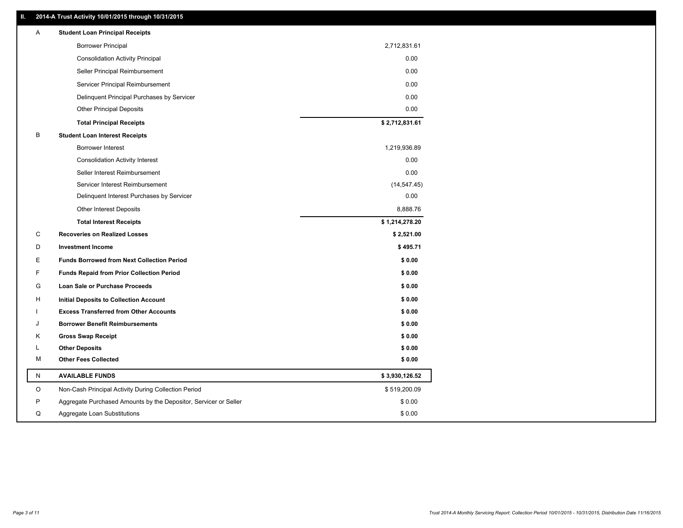### **II. 2014-A Trust Activity 10/01/2015 through 10/31/2015**

| Α | <b>Student Loan Principal Receipts</b>                           |                |
|---|------------------------------------------------------------------|----------------|
|   | <b>Borrower Principal</b>                                        | 2,712,831.61   |
|   | <b>Consolidation Activity Principal</b>                          | 0.00           |
|   | Seller Principal Reimbursement                                   | 0.00           |
|   | Servicer Principal Reimbursement                                 | 0.00           |
|   | Delinquent Principal Purchases by Servicer                       | 0.00           |
|   | <b>Other Principal Deposits</b>                                  | 0.00           |
|   | <b>Total Principal Receipts</b>                                  | \$2,712,831.61 |
| B | <b>Student Loan Interest Receipts</b>                            |                |
|   | <b>Borrower Interest</b>                                         | 1,219,936.89   |
|   | <b>Consolidation Activity Interest</b>                           | 0.00           |
|   | Seller Interest Reimbursement                                    | 0.00           |
|   | Servicer Interest Reimbursement                                  | (14, 547.45)   |
|   | Delinquent Interest Purchases by Servicer                        | 0.00           |
|   | <b>Other Interest Deposits</b>                                   | 8,888.76       |
|   | <b>Total Interest Receipts</b>                                   | \$1,214,278.20 |
| С | <b>Recoveries on Realized Losses</b>                             | \$2,521.00     |
| D | <b>Investment Income</b>                                         | \$495.71       |
| Е | <b>Funds Borrowed from Next Collection Period</b>                | \$0.00         |
| F | <b>Funds Repaid from Prior Collection Period</b>                 | \$0.00         |
| G | Loan Sale or Purchase Proceeds                                   | \$0.00         |
| н | Initial Deposits to Collection Account                           | \$0.00         |
|   | <b>Excess Transferred from Other Accounts</b>                    | \$0.00         |
| J | <b>Borrower Benefit Reimbursements</b>                           | \$0.00         |
| Κ | <b>Gross Swap Receipt</b>                                        | \$0.00         |
| L | <b>Other Deposits</b>                                            | \$0.00         |
| М | <b>Other Fees Collected</b>                                      | \$0.00         |
| N | <b>AVAILABLE FUNDS</b>                                           | \$3,930,126.52 |
| O | Non-Cash Principal Activity During Collection Period             | \$519,200.09   |
| P | Aggregate Purchased Amounts by the Depositor, Servicer or Seller | \$0.00         |
| Q | Aggregate Loan Substitutions                                     | \$0.00         |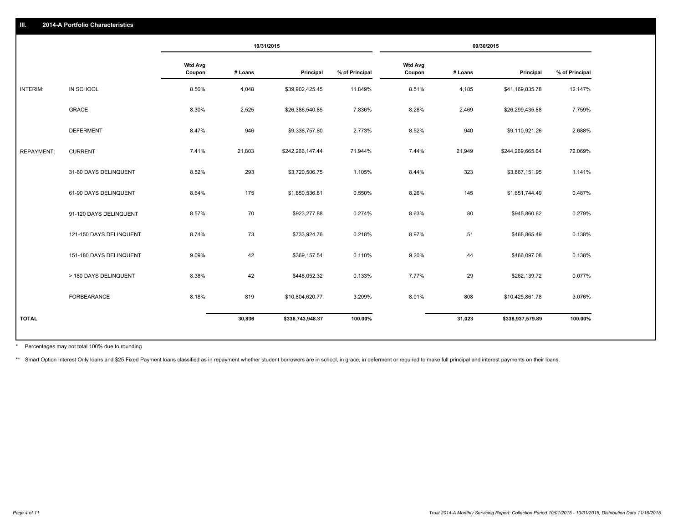|                   |                         |                          |         | 10/31/2015       |                |                          |         | 09/30/2015       |                |
|-------------------|-------------------------|--------------------------|---------|------------------|----------------|--------------------------|---------|------------------|----------------|
|                   |                         | <b>Wtd Avg</b><br>Coupon | # Loans | Principal        | % of Principal | <b>Wtd Avg</b><br>Coupon | # Loans | Principal        | % of Principal |
| INTERIM:          | IN SCHOOL               | 8.50%                    | 4,048   | \$39,902,425.45  | 11.849%        | 8.51%                    | 4,185   | \$41,169,835.78  | 12.147%        |
|                   | <b>GRACE</b>            | 8.30%                    | 2,525   | \$26,386,540.85  | 7.836%         | 8.28%                    | 2,469   | \$26,299,435.88  | 7.759%         |
|                   | <b>DEFERMENT</b>        | 8.47%                    | 946     | \$9,338,757.80   | 2.773%         | 8.52%                    | 940     | \$9,110,921.26   | 2.688%         |
| <b>REPAYMENT:</b> | <b>CURRENT</b>          | 7.41%                    | 21,803  | \$242,266,147.44 | 71.944%        | 7.44%                    | 21,949  | \$244,269,665.64 | 72.069%        |
|                   | 31-60 DAYS DELINQUENT   | 8.52%                    | 293     | \$3,720,506.75   | 1.105%         | 8.44%                    | 323     | \$3,867,151.95   | 1.141%         |
|                   | 61-90 DAYS DELINQUENT   | 8.64%                    | 175     | \$1,850,536.81   | 0.550%         | 8.26%                    | 145     | \$1,651,744.49   | 0.487%         |
|                   | 91-120 DAYS DELINQUENT  | 8.57%                    | 70      | \$923,277.88     | 0.274%         | 8.63%                    | 80      | \$945,860.82     | 0.279%         |
|                   | 121-150 DAYS DELINQUENT | 8.74%                    | 73      | \$733,924.76     | 0.218%         | 8.97%                    | 51      | \$468,865.49     | 0.138%         |
|                   | 151-180 DAYS DELINQUENT | 9.09%                    | 42      | \$369,157.54     | 0.110%         | 9.20%                    | 44      | \$466,097.08     | 0.138%         |
|                   | > 180 DAYS DELINQUENT   | 8.38%                    | 42      | \$448,052.32     | 0.133%         | 7.77%                    | 29      | \$262,139.72     | 0.077%         |
|                   | FORBEARANCE             | 8.18%                    | 819     | \$10,804,620.77  | 3.209%         | 8.01%                    | 808     | \$10,425,861.78  | 3.076%         |
| <b>TOTAL</b>      |                         |                          | 30,836  | \$336,743,948.37 | 100.00%        |                          | 31,023  | \$338,937,579.89 | 100.00%        |

Percentages may not total 100% due to rounding \*

\*\* Smart Option Interest Only loans and \$25 Fixed Payment loans classified as in repayment whether student borrowers are in school, in grace, in deferment or required to make full principal and interest payments on their l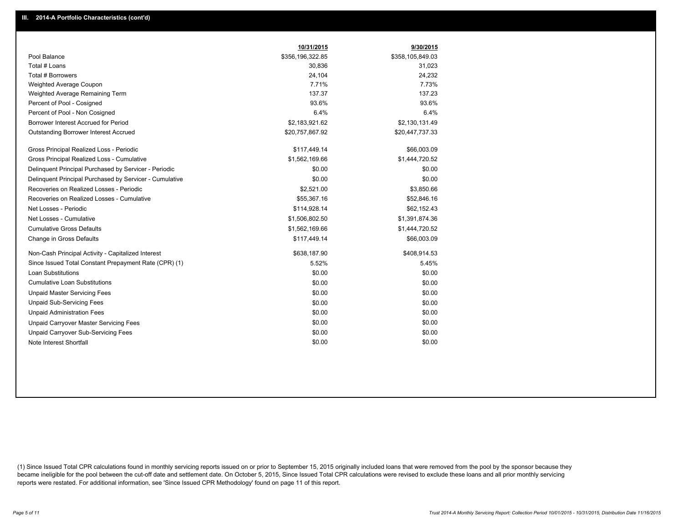|                                                         | 10/31/2015       | 9/30/2015        |
|---------------------------------------------------------|------------------|------------------|
| Pool Balance                                            | \$356,196,322.85 | \$358,105,849.03 |
| Total # Loans                                           | 30,836           | 31,023           |
| Total # Borrowers                                       | 24,104           | 24,232           |
| Weighted Average Coupon                                 | 7.71%            | 7.73%            |
| Weighted Average Remaining Term                         | 137.37           | 137.23           |
| Percent of Pool - Cosigned                              | 93.6%            | 93.6%            |
| Percent of Pool - Non Cosigned                          | 6.4%             | 6.4%             |
| Borrower Interest Accrued for Period                    | \$2,183,921.62   | \$2,130,131.49   |
| Outstanding Borrower Interest Accrued                   | \$20,757,867.92  | \$20,447,737.33  |
| Gross Principal Realized Loss - Periodic                | \$117,449.14     | \$66,003.09      |
| Gross Principal Realized Loss - Cumulative              | \$1,562,169.66   | \$1,444,720.52   |
| Delinquent Principal Purchased by Servicer - Periodic   | \$0.00           | \$0.00           |
| Delinquent Principal Purchased by Servicer - Cumulative | \$0.00           | \$0.00           |
| Recoveries on Realized Losses - Periodic                | \$2,521.00       | \$3,850.66       |
| Recoveries on Realized Losses - Cumulative              | \$55,367.16      | \$52,846.16      |
| Net Losses - Periodic                                   | \$114,928.14     | \$62,152.43      |
| Net Losses - Cumulative                                 | \$1,506,802.50   | \$1,391,874.36   |
| <b>Cumulative Gross Defaults</b>                        | \$1,562,169.66   | \$1,444,720.52   |
| Change in Gross Defaults                                | \$117,449.14     | \$66,003.09      |
| Non-Cash Principal Activity - Capitalized Interest      | \$638,187.90     | \$408,914.53     |
| Since Issued Total Constant Prepayment Rate (CPR) (1)   | 5.52%            | 5.45%            |
| <b>Loan Substitutions</b>                               | \$0.00           | \$0.00           |
| <b>Cumulative Loan Substitutions</b>                    | \$0.00           | \$0.00           |
| <b>Unpaid Master Servicing Fees</b>                     | \$0.00           | \$0.00           |
| <b>Unpaid Sub-Servicing Fees</b>                        | \$0.00           | \$0.00           |
| <b>Unpaid Administration Fees</b>                       | \$0.00           | \$0.00           |
| Unpaid Carryover Master Servicing Fees                  | \$0.00           | \$0.00           |
| Unpaid Carryover Sub-Servicing Fees                     | \$0.00           | \$0.00           |
| Note Interest Shortfall                                 | \$0.00           | \$0.00           |

(1) Since Issued Total CPR calculations found in monthly servicing reports issued on or prior to September 15, 2015 originally included loans that were removed from the pool by the sponsor because they became ineligible for the pool between the cut-off date and settlement date. On October 5, 2015, Since Issued Total CPR calculations were revised to exclude these loans and all prior monthly servicing reports were restated. For additional information, see 'Since Issued CPR Methodology' found on page 11 of this report.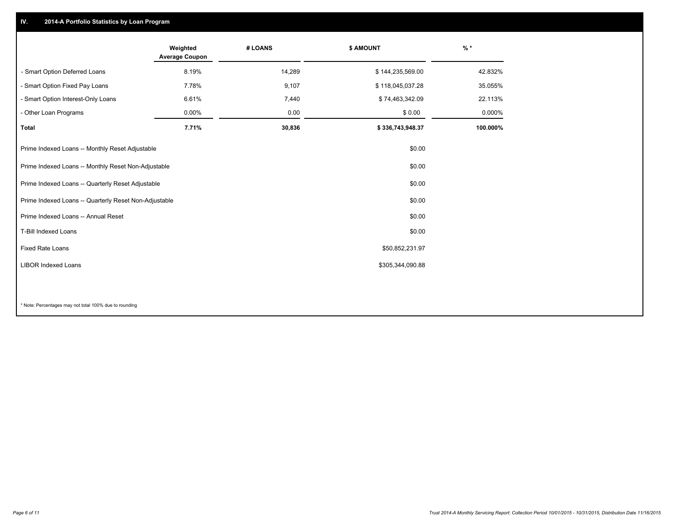## **IV. 2014-A Portfolio Statistics by Loan Program**

|                                                       | Weighted<br><b>Average Coupon</b> | # LOANS | \$ AMOUNT        | $%$ *    |
|-------------------------------------------------------|-----------------------------------|---------|------------------|----------|
| - Smart Option Deferred Loans                         | 8.19%                             | 14,289  | \$144,235,569.00 | 42.832%  |
| - Smart Option Fixed Pay Loans                        | 7.78%                             | 9,107   | \$118,045,037.28 | 35.055%  |
| - Smart Option Interest-Only Loans                    | 6.61%                             | 7,440   | \$74,463,342.09  | 22.113%  |
| - Other Loan Programs                                 | 0.00%                             | 0.00    | \$0.00           | 0.000%   |
| <b>Total</b>                                          | 7.71%                             | 30,836  | \$336,743,948.37 | 100.000% |
| Prime Indexed Loans -- Monthly Reset Adjustable       |                                   |         | \$0.00           |          |
| Prime Indexed Loans -- Monthly Reset Non-Adjustable   |                                   |         | \$0.00           |          |
| Prime Indexed Loans -- Quarterly Reset Adjustable     |                                   |         | \$0.00           |          |
| Prime Indexed Loans -- Quarterly Reset Non-Adjustable |                                   |         | \$0.00           |          |
| Prime Indexed Loans -- Annual Reset                   |                                   |         | \$0.00           |          |
| T-Bill Indexed Loans                                  |                                   |         | \$0.00           |          |
| Fixed Rate Loans                                      |                                   |         | \$50,852,231.97  |          |
| <b>LIBOR Indexed Loans</b>                            |                                   |         | \$305,344,090.88 |          |
|                                                       |                                   |         |                  |          |

\* Note: Percentages may not total 100% due to rounding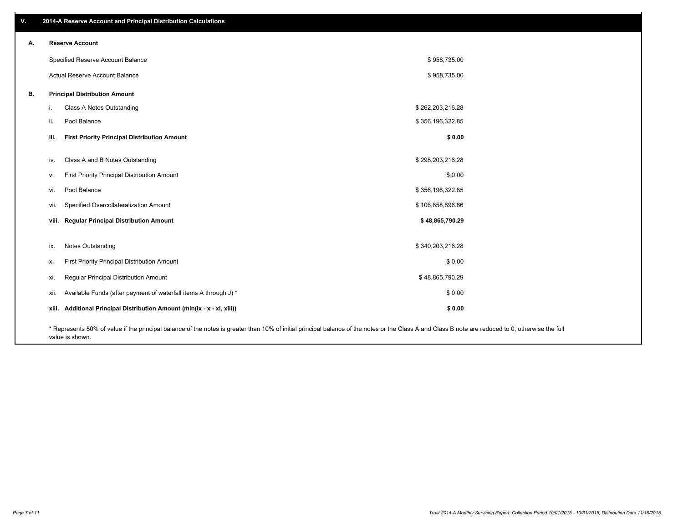| V. |       | 2014-A Reserve Account and Principal Distribution Calculations                                                                                                                                                        |                  |  |
|----|-------|-----------------------------------------------------------------------------------------------------------------------------------------------------------------------------------------------------------------------|------------------|--|
| А. |       | <b>Reserve Account</b>                                                                                                                                                                                                |                  |  |
|    |       | Specified Reserve Account Balance                                                                                                                                                                                     | \$958,735.00     |  |
|    |       | Actual Reserve Account Balance                                                                                                                                                                                        | \$958,735.00     |  |
| В. |       | <b>Principal Distribution Amount</b>                                                                                                                                                                                  |                  |  |
|    | j.    | Class A Notes Outstanding                                                                                                                                                                                             | \$262,203,216.28 |  |
|    | ii.   | Pool Balance                                                                                                                                                                                                          | \$356,196,322.85 |  |
|    | iii.  | <b>First Priority Principal Distribution Amount</b>                                                                                                                                                                   | \$0.00           |  |
|    |       |                                                                                                                                                                                                                       |                  |  |
|    | iv.   | Class A and B Notes Outstanding                                                                                                                                                                                       | \$298,203,216.28 |  |
|    | v.    | First Priority Principal Distribution Amount                                                                                                                                                                          | \$0.00           |  |
|    | vi.   | Pool Balance                                                                                                                                                                                                          | \$356,196,322.85 |  |
|    | vii.  | Specified Overcollateralization Amount                                                                                                                                                                                | \$106,858,896.86 |  |
|    | viii. | <b>Regular Principal Distribution Amount</b>                                                                                                                                                                          | \$48,865,790.29  |  |
|    |       |                                                                                                                                                                                                                       |                  |  |
|    | ix.   | <b>Notes Outstanding</b>                                                                                                                                                                                              | \$340,203,216.28 |  |
|    | х.    | First Priority Principal Distribution Amount                                                                                                                                                                          | \$0.00           |  |
|    | xi.   | Regular Principal Distribution Amount                                                                                                                                                                                 | \$48,865,790.29  |  |
|    | xii.  | Available Funds (after payment of waterfall items A through J) *                                                                                                                                                      | \$0.00           |  |
|    | xiii. | Additional Principal Distribution Amount (min(ix - x - xi, xiii))                                                                                                                                                     | \$0.00           |  |
|    |       | * Represents 50% of value if the principal balance of the notes is greater than 10% of initial principal balance of the notes or the Class A and Class B note are reduced to 0, otherwise the full<br>value is shown. |                  |  |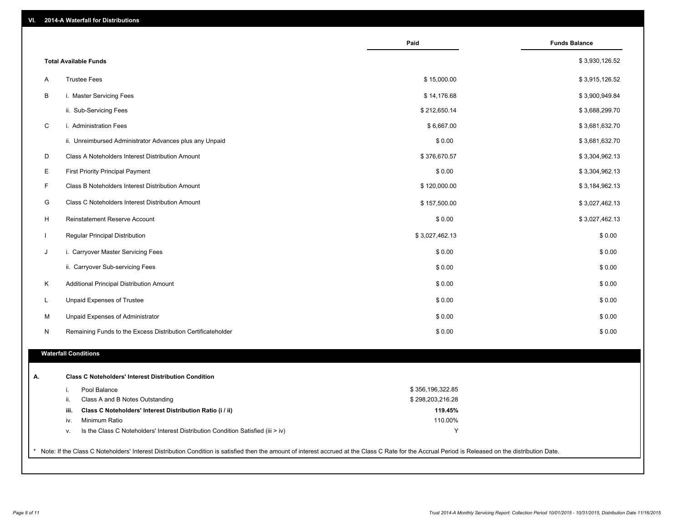| VI.<br><b>2014-A Waterfall for Distributions</b> |
|--------------------------------------------------|
|--------------------------------------------------|

|                              |                                                                                  | Paid             | <b>Funds Balance</b> |
|------------------------------|----------------------------------------------------------------------------------|------------------|----------------------|
| <b>Total Available Funds</b> |                                                                                  |                  | \$3,930,126.52       |
| <b>Trustee Fees</b><br>A     |                                                                                  | \$15,000.00      | \$3,915,126.52       |
| B                            | i. Master Servicing Fees                                                         | \$14,176.68      | \$3,900,949.84       |
|                              | ii. Sub-Servicing Fees                                                           | \$212,650.14     | \$3,688,299.70       |
| C                            | i. Administration Fees                                                           | \$6,667.00       | \$3,681,632.70       |
|                              | ii. Unreimbursed Administrator Advances plus any Unpaid                          | \$0.00           | \$3,681,632.70       |
| D                            | Class A Noteholders Interest Distribution Amount                                 | \$376,670.57     | \$3,304,962.13       |
| Е                            | <b>First Priority Principal Payment</b>                                          | \$0.00           | \$3,304,962.13       |
| F                            | Class B Noteholders Interest Distribution Amount                                 | \$120,000.00     | \$3,184,962.13       |
| G                            | Class C Noteholders Interest Distribution Amount                                 | \$157,500.00     | \$3,027,462.13       |
| H                            | Reinstatement Reserve Account                                                    | \$0.00           | \$3,027,462.13       |
| $\mathbf{L}$                 | Regular Principal Distribution                                                   | \$3,027,462.13   | \$0.00               |
| J                            | i. Carryover Master Servicing Fees                                               | \$0.00           | \$0.00               |
|                              | ii. Carryover Sub-servicing Fees                                                 | \$0.00           | \$0.00               |
| Κ                            | Additional Principal Distribution Amount                                         | \$0.00           | \$0.00               |
| L                            | Unpaid Expenses of Trustee                                                       | \$0.00           | \$0.00               |
| M                            | Unpaid Expenses of Administrator                                                 | \$0.00           | \$0.00               |
| N                            | Remaining Funds to the Excess Distribution Certificateholder                     | \$0.00           | \$0.00               |
|                              |                                                                                  |                  |                      |
| <b>Waterfall Conditions</b>  |                                                                                  |                  |                      |
|                              | <b>Class C Noteholders' Interest Distribution Condition</b>                      |                  |                      |
| i.                           | Pool Balance                                                                     | \$356,196,322.85 |                      |
| ii.                          | Class A and B Notes Outstanding                                                  | \$298,203,216.28 |                      |
| iii.                         | Class C Noteholders' Interest Distribution Ratio (i / ii)                        | 119.45%          |                      |
| iv.                          | Minimum Ratio                                                                    | 110.00%          |                      |
| v.                           | Is the Class C Noteholders' Interest Distribution Condition Satisfied (iii > iv) | Y                |                      |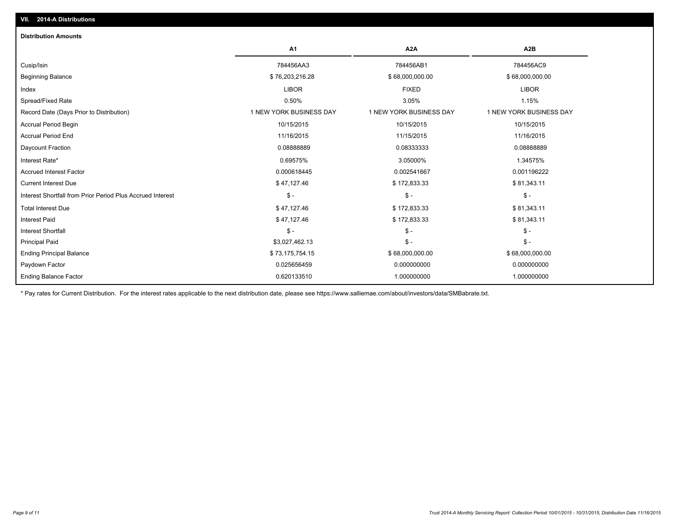| <b>Distribution Amounts</b>                                |                         |                         |                         |
|------------------------------------------------------------|-------------------------|-------------------------|-------------------------|
|                                                            | A <sub>1</sub>          | A <sub>2</sub> A        | A <sub>2</sub> B        |
| Cusip/Isin                                                 | 784456AA3               | 784456AB1               | 784456AC9               |
| <b>Beginning Balance</b>                                   | \$76,203,216.28         | \$68,000,000.00         | \$68,000,000.00         |
| Index                                                      | <b>LIBOR</b>            | <b>FIXED</b>            | <b>LIBOR</b>            |
| Spread/Fixed Rate                                          | 0.50%                   | 3.05%                   | 1.15%                   |
| Record Date (Days Prior to Distribution)                   | 1 NEW YORK BUSINESS DAY | 1 NEW YORK BUSINESS DAY | 1 NEW YORK BUSINESS DAY |
| <b>Accrual Period Begin</b>                                | 10/15/2015              | 10/15/2015              | 10/15/2015              |
| <b>Accrual Period End</b>                                  | 11/16/2015              | 11/15/2015              | 11/16/2015              |
| Daycount Fraction                                          | 0.0888889               | 0.08333333              | 0.08888889              |
| Interest Rate*                                             | 0.69575%                | 3.05000%                | 1.34575%                |
| <b>Accrued Interest Factor</b>                             | 0.000618445             | 0.002541667             | 0.001196222             |
| <b>Current Interest Due</b>                                | \$47,127.46             | \$172,833.33            | \$81,343.11             |
| Interest Shortfall from Prior Period Plus Accrued Interest | $\mathsf{\$}$ -         | $\mathsf{\$}$ -         | $\mathsf{\$}$ -         |
| <b>Total Interest Due</b>                                  | \$47,127.46             | \$172,833.33            | \$81,343.11             |
| <b>Interest Paid</b>                                       | \$47,127.46             | \$172,833.33            | \$81,343.11             |
| <b>Interest Shortfall</b>                                  | $\mathsf{\$}$ -         | $\mathsf{\$}$ -         | $\mathsf{\$}$ -         |
| <b>Principal Paid</b>                                      | \$3,027,462.13          | $\mathsf{\$}$ -         | $\mathsf{\$}$ -         |
| <b>Ending Principal Balance</b>                            | \$73,175,754.15         | \$68,000,000.00         | \$68,000,000.00         |
| Paydown Factor                                             | 0.025656459             | 0.000000000             | 0.000000000             |
| <b>Ending Balance Factor</b>                               | 0.620133510             | 1.000000000             | 1.000000000             |

\* Pay rates for Current Distribution. For the interest rates applicable to the next distribution date, please see https://www.salliemae.com/about/investors/data/SMBabrate.txt.

**VII. 2014-A Distributions**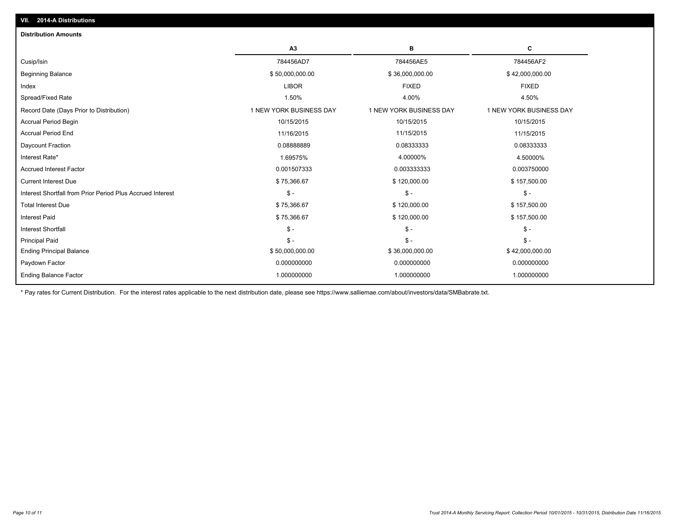| <b>Distribution Amounts</b>                                |                         |                         |                         |
|------------------------------------------------------------|-------------------------|-------------------------|-------------------------|
|                                                            | A3                      | в                       | c                       |
| Cusip/Isin                                                 | 784456AD7               | 784456AE5               | 784456AF2               |
| <b>Beginning Balance</b>                                   | \$50,000,000.00         | \$36,000,000.00         | \$42,000,000.00         |
| Index                                                      | <b>LIBOR</b>            | <b>FIXED</b>            | <b>FIXED</b>            |
| Spread/Fixed Rate                                          | 1.50%                   | 4.00%                   | 4.50%                   |
| Record Date (Days Prior to Distribution)                   | 1 NEW YORK BUSINESS DAY | 1 NEW YORK BUSINESS DAY | 1 NEW YORK BUSINESS DAY |
| <b>Accrual Period Begin</b>                                | 10/15/2015              | 10/15/2015              | 10/15/2015              |
| <b>Accrual Period End</b>                                  | 11/16/2015              | 11/15/2015              | 11/15/2015              |
| Daycount Fraction                                          | 0.0888889               | 0.08333333              | 0.08333333              |
| Interest Rate*                                             | 1.69575%                | 4.00000%                | 4.50000%                |
| <b>Accrued Interest Factor</b>                             | 0.001507333             | 0.003333333             | 0.003750000             |
| <b>Current Interest Due</b>                                | \$75,366.67             | \$120,000.00            | \$157,500.00            |
| Interest Shortfall from Prior Period Plus Accrued Interest | $\mathsf{\$}$ -         | $\mathsf{\$}$ -         | $\mathsf{\$}$ -         |
| <b>Total Interest Due</b>                                  | \$75,366.67             | \$120,000.00            | \$157,500.00            |
| <b>Interest Paid</b>                                       | \$75,366.67             | \$120,000.00            | \$157,500.00            |
| <b>Interest Shortfall</b>                                  | $S -$                   | $\mathcal{S}$ -         | $S -$                   |
| <b>Principal Paid</b>                                      | $\mathsf{\$}$ -         | $\mathsf{\$}$ -         | $\mathsf{\$}$ -         |
| <b>Ending Principal Balance</b>                            | \$50,000,000.00         | \$36,000,000.00         | \$42,000,000.00         |
| Paydown Factor                                             | 0.000000000             | 0.000000000             | 0.000000000             |
| <b>Ending Balance Factor</b>                               | 1.000000000             | 1.000000000             | 1.000000000             |

\* Pay rates for Current Distribution. For the interest rates applicable to the next distribution date, please see https://www.salliemae.com/about/investors/data/SMBabrate.txt.

**VII. 2014-A Distributions**